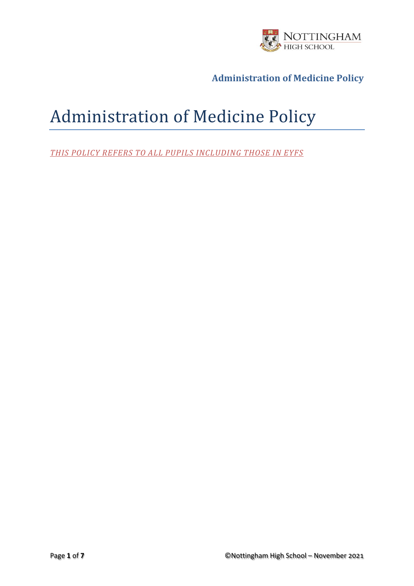

# Administration of Medicine Policy

*THIS POLICY REFERS TO ALL PUPILS INCLUDING THOSE IN EYFS*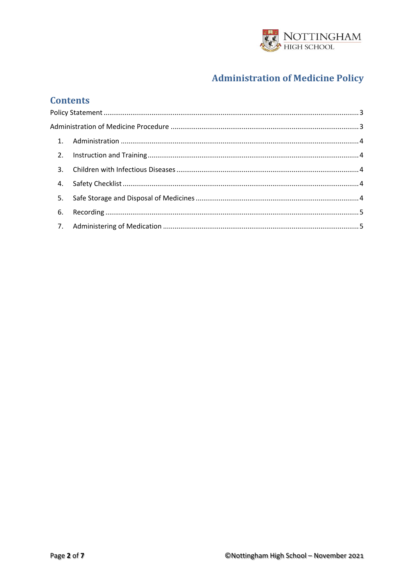

## **Contents**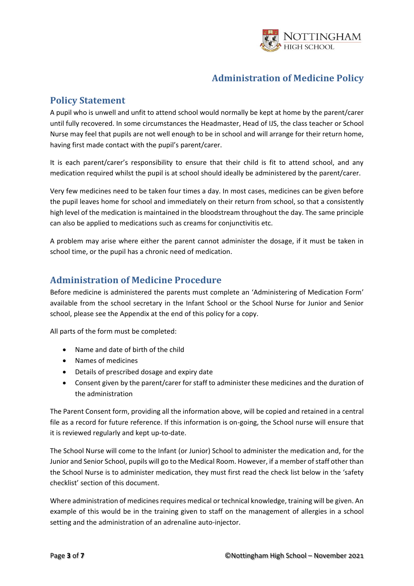

## <span id="page-2-0"></span>**Policy Statement**

A pupil who is unwell and unfit to attend school would normally be kept at home by the parent/carer until fully recovered. In some circumstances the Headmaster, Head of IJS, the class teacher or School Nurse may feel that pupils are not well enough to be in school and will arrange for their return home, having first made contact with the pupil's parent/carer.

It is each parent/carer's responsibility to ensure that their child is fit to attend school, and any medication required whilst the pupil is at school should ideally be administered by the parent/carer.

Very few medicines need to be taken four times a day. In most cases, medicines can be given before the pupil leaves home for school and immediately on their return from school, so that a consistently high level of the medication is maintained in the bloodstream throughout the day. The same principle can also be applied to medications such as creams for conjunctivitis etc.

A problem may arise where either the parent cannot administer the dosage, if it must be taken in school time, or the pupil has a chronic need of medication.

### <span id="page-2-1"></span>**Administration of Medicine Procedure**

Before medicine is administered the parents must complete an 'Administering of Medication Form' available from the school secretary in the Infant School or the School Nurse for Junior and Senior school, please see the Appendix at the end of this policy for a copy.

All parts of the form must be completed:

- Name and date of birth of the child
- Names of medicines
- Details of prescribed dosage and expiry date
- Consent given by the parent/carer for staff to administer these medicines and the duration of the administration

The Parent Consent form, providing all the information above, will be copied and retained in a central file as a record for future reference. If this information is on-going, the School nurse will ensure that it is reviewed regularly and kept up-to-date.

The School Nurse will come to the Infant (or Junior) School to administer the medication and, for the Junior and Senior School, pupils will go to the Medical Room. However, if a member of staff other than the School Nurse is to administer medication, they must first read the check list below in the 'safety checklist' section of this document.

Where administration of medicines requires medical or technical knowledge, training will be given. An example of this would be in the training given to staff on the management of allergies in a school setting and the administration of an adrenaline auto-injector.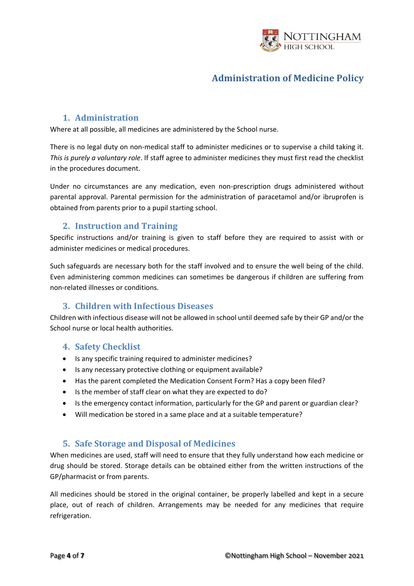

#### **1. Administration**

<span id="page-3-0"></span>Where at all possible, all medicines are administered by the School nurse.

There is no legal duty on non-medical staff to administer medicines or to supervise a child taking it. *This is purely a voluntary role*. If staff agree to administer medicines they must first read the checklist in the procedures document.

Under no circumstances are any medication, even non-prescription drugs administered without parental approval. Parental permission for the administration of paracetamol and/or ibruprofen is obtained from parents prior to a pupil starting school.

#### **2. Instruction and Training**

<span id="page-3-1"></span>Specific instructions and/or training is given to staff before they are required to assist with or administer medicines or medical procedures.

Such safeguards are necessary both for the staff involved and to ensure the well being of the child. Even administering common medicines can sometimes be dangerous if children are suffering from non-related illnesses or conditions.

#### **3. Children with Infectious Diseases**

<span id="page-3-2"></span>Children with infectious disease will not be allowed in school until deemed safe by their GP and/or the School nurse or local health authorities.

#### <span id="page-3-3"></span>**4. Safety Checklist**

- Is any specific training required to administer medicines?
- Is any necessary protective clothing or equipment available?
- Has the parent completed the Medication Consent Form? Has a copy been filed?
- Is the member of staff clear on what they are expected to do?
- Is the emergency contact information, particularly for the GP and parent or guardian clear?
- Will medication be stored in a same place and at a suitable temperature?

#### **5. Safe Storage and Disposal of Medicines**

<span id="page-3-4"></span>When medicines are used, staff will need to ensure that they fully understand how each medicine or drug should be stored. Storage details can be obtained either from the written instructions of the GP/pharmacist or from parents.

All medicines should be stored in the original container, be properly labelled and kept in a secure place, out of reach of children. Arrangements may be needed for any medicines that require refrigeration.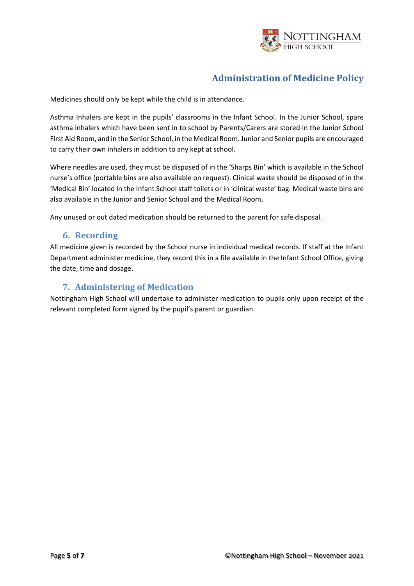

Medicines should only be kept while the child is in attendance.

Asthma Inhalers are kept in the pupils' classrooms in the Infant School. In the Junior School, spare asthma inhalers which have been sent in to school by Parents/Carers are stored in the Junior School First Aid Room, and in the Senior School, in the Medical Room. Junior and Senior pupils are encouraged to carry their own inhalers in addition to any kept at school.

Where needles are used, they must be disposed of in the 'Sharps Bin' which is available in the School nurse's office (portable bins are also available on request). Clinical waste should be disposed of in the 'Medical Bin' located in the Infant School staff toilets or in 'clinical waste' bag. Medical waste bins are also available in the Junior and Senior School and the Medical Room.

Any unused or out dated medication should be returned to the parent for safe disposal.

#### **6. Recording**

<span id="page-4-0"></span>All medicine given is recorded by the School nurse in individual medical records. If staff at the Infant Department administer medicine, they record this in a file available in the Infant School Office, giving the date, time and dosage.

#### **7. Administering of Medication**

<span id="page-4-1"></span>Nottingham High School will undertake to administer medication to pupils only upon receipt of the relevant completed form signed by the pupil's parent or guardian.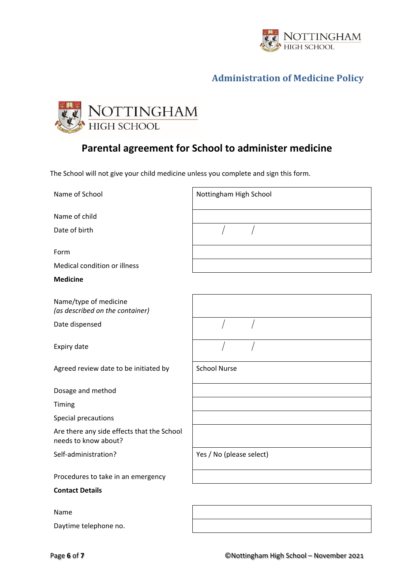



# **Parental agreement for School to administer medicine**

The School will not give your child medicine unless you complete and sign this form.

| Name of School                                                     | Nottingham High School   |
|--------------------------------------------------------------------|--------------------------|
| Name of child                                                      |                          |
| Date of birth                                                      |                          |
| Form                                                               |                          |
| Medical condition or illness                                       |                          |
| <b>Medicine</b>                                                    |                          |
| Name/type of medicine<br>(as described on the container)           |                          |
| Date dispensed                                                     |                          |
| Expiry date                                                        |                          |
| Agreed review date to be initiated by                              | <b>School Nurse</b>      |
| Dosage and method                                                  |                          |
| Timing                                                             |                          |
| Special precautions                                                |                          |
| Are there any side effects that the School<br>needs to know about? |                          |
| Self-administration?                                               | Yes / No (please select) |
| Procedures to take in an emergency                                 |                          |
| <b>Contact Details</b>                                             |                          |
| <b>Name</b>                                                        |                          |
| Daytime telephone no.                                              |                          |